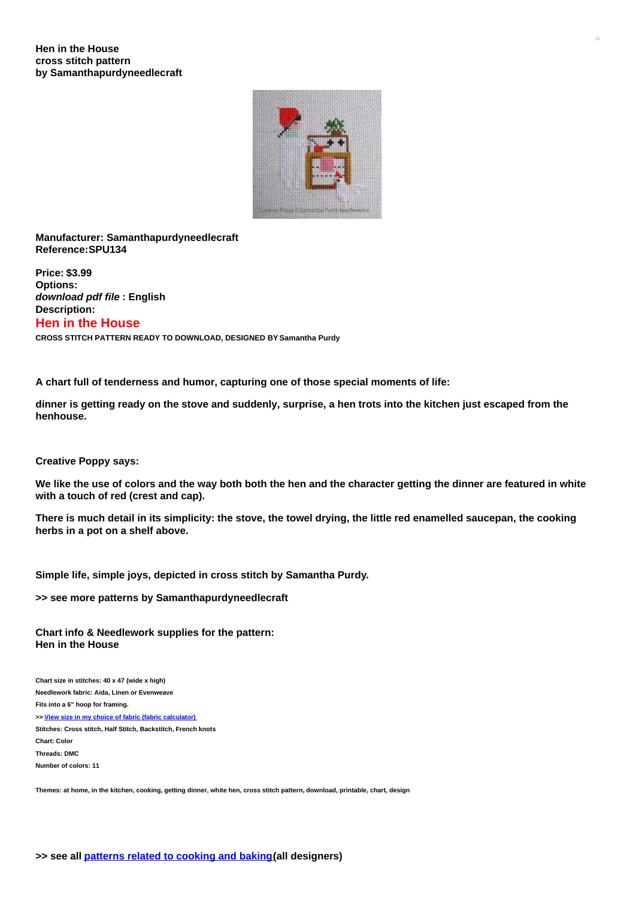

**Manufacturer: Samanthapurdyneedlecraft Reference:SPU134**

**Price: \$3.99 Options:** *download pdf file* **: English Description: Hen in the House CROSS STITCH PATTERN READY TO DOWNLOAD, DESIGNED BY Samantha Purdy**

**A chart full of tenderness and humor, capturing one of those special moments of life:**

dinner is getting ready on the stove and suddenly, surprise, a hen trots into the kitchen just escaped from the **henhouse.**

**Creative Poppy says:**

We like the use of colors and the way both both the hen and the character getting the dinner are featured in white **with a touch of red (crest and cap).**

There is much detail in its simplicity: the stove, the towel drying, the little red enamelled saucepan, the cooking **herbs in a pot on a shelf above.**

**Simple life, simple joys, depicted in cross stitch by Samantha Purdy.**

**>> see more patterns by Samanthapurdyneedlecraft**

**Chart info & Needlework supplies for the pattern: Hen in the House**

**Chart size in stitches: 40 x 47 (wide x high) Needlework fabric: Aida, Linen or Evenweave Fits into a 6" hoop for framing. >> View size in my choice of fabric (fabric [calculator\)](https://www.creativepoppypatterns.com/calculette-de-toile.php?products_id=3340&w=40&h=47) Stitches: Cross stitch, Half Stitch, Backstitch, French knots Chart: Color Threads: DMC Number of colors: 11**

Themes: at home, in the kitchen, cooking, getting dinner, white hen, cross stitch pattern, download, printable, chart, design